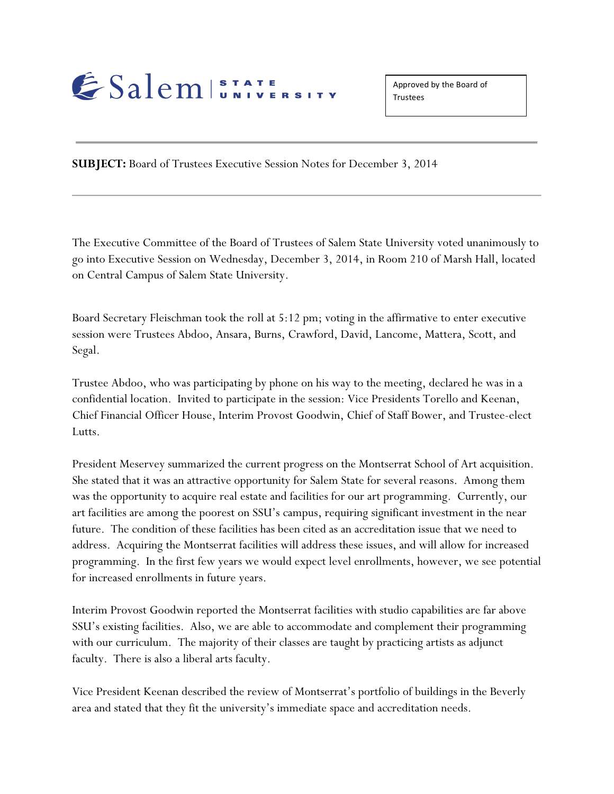## ESalem STATE

Approved by the Board of **Trustees** 

**SUBJECT:** Board of Trustees Executive Session Notes for December 3, 2014

The Executive Committee of the Board of Trustees of Salem State University voted unanimously to go into Executive Session on Wednesday, December 3, 2014, in Room 210 of Marsh Hall, located on Central Campus of Salem State University.

Board Secretary Fleischman took the roll at 5:12 pm; voting in the affirmative to enter executive session were Trustees Abdoo, Ansara, Burns, Crawford, David, Lancome, Mattera, Scott, and Segal.

Trustee Abdoo, who was participating by phone on his way to the meeting, declared he was in a confidential location. Invited to participate in the session: Vice Presidents Torello and Keenan, Chief Financial Officer House, Interim Provost Goodwin, Chief of Staff Bower, and Trustee-elect Lutts.

President Meservey summarized the current progress on the Montserrat School of Art acquisition. She stated that it was an attractive opportunity for Salem State for several reasons. Among them was the opportunity to acquire real estate and facilities for our art programming. Currently, our art facilities are among the poorest on SSU's campus, requiring significant investment in the near future. The condition of these facilities has been cited as an accreditation issue that we need to address. Acquiring the Montserrat facilities will address these issues, and will allow for increased programming. In the first few years we would expect level enrollments, however, we see potential for increased enrollments in future years.

Interim Provost Goodwin reported the Montserrat facilities with studio capabilities are far above SSU's existing facilities. Also, we are able to accommodate and complement their programming with our curriculum. The majority of their classes are taught by practicing artists as adjunct faculty. There is also a liberal arts faculty.

Vice President Keenan described the review of Montserrat's portfolio of buildings in the Beverly area and stated that they fit the university's immediate space and accreditation needs.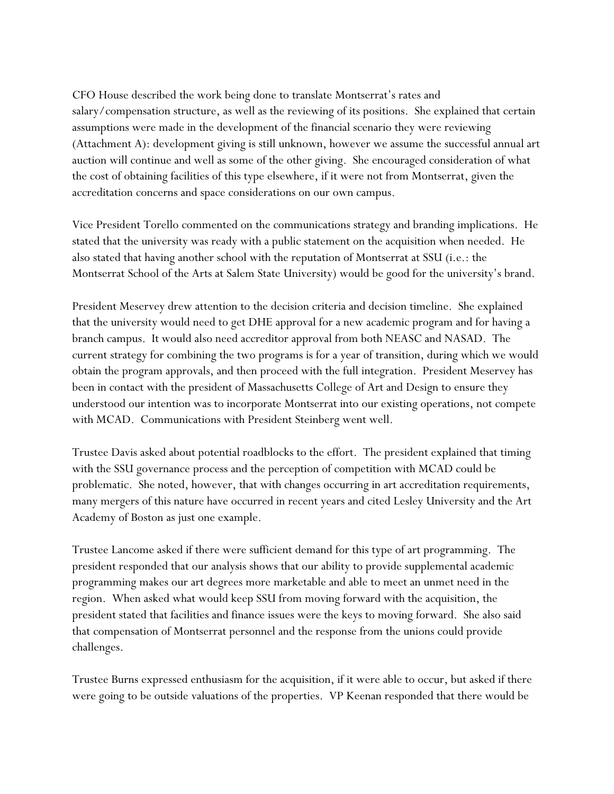CFO House described the work being done to translate Montserrat's rates and salary/compensation structure, as well as the reviewing of its positions. She explained that certain assumptions were made in the development of the financial scenario they were reviewing (Attachment A): development giving is still unknown, however we assume the successful annual art auction will continue and well as some of the other giving. She encouraged consideration of what the cost of obtaining facilities of this type elsewhere, if it were not from Montserrat, given the accreditation concerns and space considerations on our own campus.

Vice President Torello commented on the communications strategy and branding implications. He stated that the university was ready with a public statement on the acquisition when needed. He also stated that having another school with the reputation of Montserrat at SSU (i.e.: the Montserrat School of the Arts at Salem State University) would be good for the university's brand.

President Meservey drew attention to the decision criteria and decision timeline. She explained that the university would need to get DHE approval for a new academic program and for having a branch campus. It would also need accreditor approval from both NEASC and NASAD. The current strategy for combining the two programs is for a year of transition, during which we would obtain the program approvals, and then proceed with the full integration. President Meservey has been in contact with the president of Massachusetts College of Art and Design to ensure they understood our intention was to incorporate Montserrat into our existing operations, not compete with MCAD. Communications with President Steinberg went well.

Trustee Davis asked about potential roadblocks to the effort. The president explained that timing with the SSU governance process and the perception of competition with MCAD could be problematic. She noted, however, that with changes occurring in art accreditation requirements, many mergers of this nature have occurred in recent years and cited Lesley University and the Art Academy of Boston as just one example.

Trustee Lancome asked if there were sufficient demand for this type of art programming. The president responded that our analysis shows that our ability to provide supplemental academic programming makes our art degrees more marketable and able to meet an unmet need in the region. When asked what would keep SSU from moving forward with the acquisition, the president stated that facilities and finance issues were the keys to moving forward. She also said that compensation of Montserrat personnel and the response from the unions could provide challenges.

Trustee Burns expressed enthusiasm for the acquisition, if it were able to occur, but asked if there were going to be outside valuations of the properties. VP Keenan responded that there would be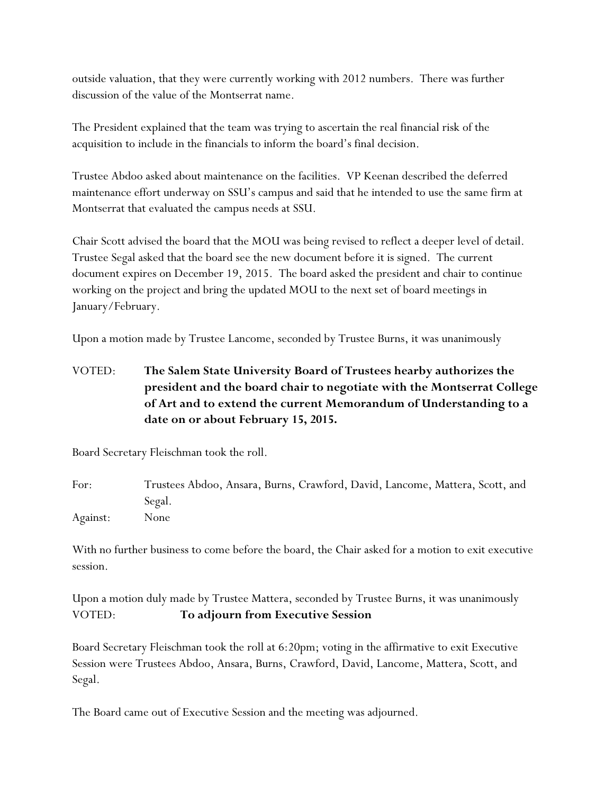outside valuation, that they were currently working with 2012 numbers. There was further discussion of the value of the Montserrat name.

The President explained that the team was trying to ascertain the real financial risk of the acquisition to include in the financials to inform the board's final decision.

Trustee Abdoo asked about maintenance on the facilities. VP Keenan described the deferred maintenance effort underway on SSU's campus and said that he intended to use the same firm at Montserrat that evaluated the campus needs at SSU.

Chair Scott advised the board that the MOU was being revised to reflect a deeper level of detail. Trustee Segal asked that the board see the new document before it is signed. The current document expires on December 19, 2015. The board asked the president and chair to continue working on the project and bring the updated MOU to the next set of board meetings in January/February.

Upon a motion made by Trustee Lancome, seconded by Trustee Burns, it was unanimously

VOTED: **The Salem State University Board of Trustees hearby authorizes the president and the board chair to negotiate with the Montserrat College of Art and to extend the current Memorandum of Understanding to a date on or about February 15, 2015.**

Board Secretary Fleischman took the roll.

For: Trustees Abdoo, Ansara, Burns, Crawford, David, Lancome, Mattera, Scott, and Segal. Against: None

With no further business to come before the board, the Chair asked for a motion to exit executive session.

Upon a motion duly made by Trustee Mattera, seconded by Trustee Burns, it was unanimously VOTED: **To adjourn from Executive Session** 

Board Secretary Fleischman took the roll at 6:20pm; voting in the affirmative to exit Executive Session were Trustees Abdoo, Ansara, Burns, Crawford, David, Lancome, Mattera, Scott, and Segal.

The Board came out of Executive Session and the meeting was adjourned.